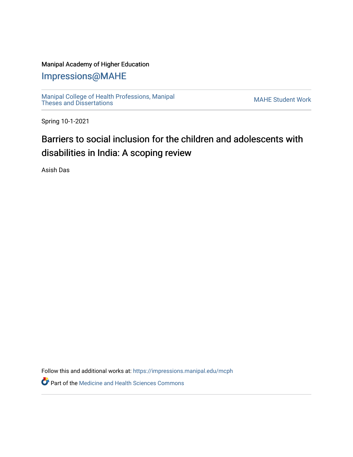## Manipal Academy of Higher Education

## [Impressions@MAHE](https://impressions.manipal.edu/)

[Manipal College of Health Professions, Manipal](https://impressions.manipal.edu/mcph) [Theses and Dissertations](https://impressions.manipal.edu/mcph) Mateur Channel Manners and Dissertations MAHE Student Work

Spring 10-1-2021

## Barriers to social inclusion for the children and adolescents with disabilities in India: A scoping review

Asish Das

Follow this and additional works at: [https://impressions.manipal.edu/mcph](https://impressions.manipal.edu/mcph?utm_source=impressions.manipal.edu%2Fmcph%2F99&utm_medium=PDF&utm_campaign=PDFCoverPages)

**Part of the Medicine and Health Sciences Commons**